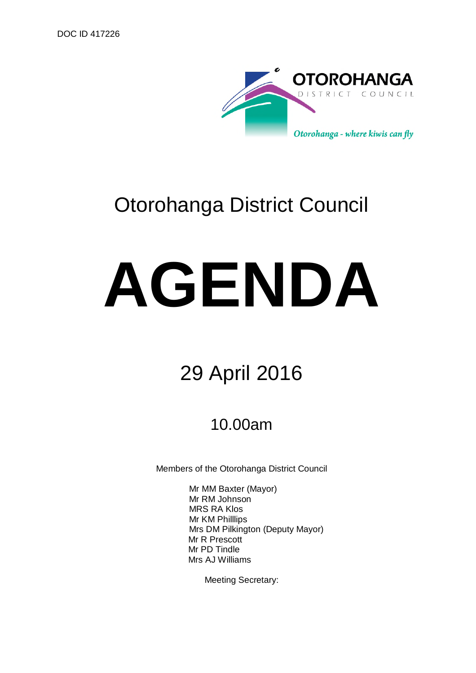

# Otorohanga District Council

# **AGENDA**

## 29 April 2016

## 10.00am

Members of the Otorohanga District Council

Mr MM Baxter (Mayor) Mr RM Johnson MRS RA Klos Mr KM Philllips Mrs DM Pilkington (Deputy Mayor) Mr R Prescott Mr PD Tindle Mrs AJ Williams

Meeting Secretary: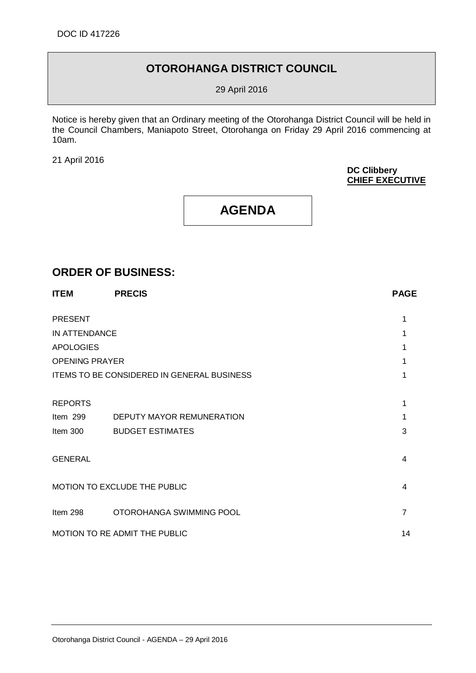#### **OTOROHANGA DISTRICT COUNCIL**

29 April 2016

Notice is hereby given that an Ordinary meeting of the Otorohanga District Council will be held in the Council Chambers, Maniapoto Street, Otorohanga on Friday 29 April 2016 commencing at 10am.

21 April 2016

#### **DC Clibbery CHIEF EXECUTIVE**

### **AGENDA**

#### **ORDER OF BUSINESS:**

| <b>ITEM</b>                   | <b>PRECIS</b>                                     | <b>PAGE</b>    |
|-------------------------------|---------------------------------------------------|----------------|
| <b>PRESENT</b>                |                                                   |                |
| IN ATTENDANCE                 |                                                   |                |
| <b>APOLOGIES</b>              |                                                   |                |
| <b>OPENING PRAYER</b>         |                                                   |                |
|                               | <b>ITEMS TO BE CONSIDERED IN GENERAL BUSINESS</b> |                |
| <b>REPORTS</b>                |                                                   |                |
| Item 299                      | DEPUTY MAYOR REMUNERATION                         |                |
| Item 300                      | <b>BUDGET ESTIMATES</b>                           | 3              |
| <b>GENERAL</b>                |                                                   | 4              |
| MOTION TO EXCLUDE THE PUBLIC  |                                                   | 4              |
| Item 298                      | OTOROHANGA SWIMMING POOL                          | $\overline{7}$ |
| MOTION TO RE ADMIT THE PUBLIC |                                                   | 14             |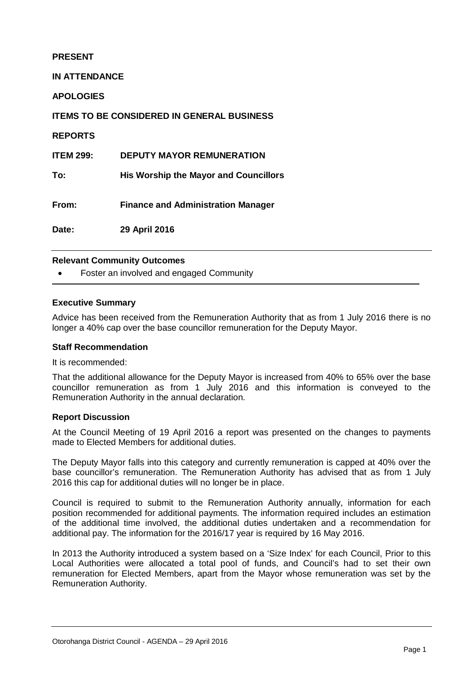#### **PRESENT**

**IN ATTENDANCE**

**APOLOGIES**

**ITEMS TO BE CONSIDERED IN GENERAL BUSINESS**

**REPORTS**

**ITEM 299: DEPUTY MAYOR REMUNERATION**

**To: His Worship the Mayor and Councillors**

**From: Finance and Administration Manager**

**Date: 29 April 2016**

#### **Relevant Community Outcomes**

Foster an involved and engaged Community

#### **Executive Summary**

Advice has been received from the Remuneration Authority that as from 1 July 2016 there is no longer a 40% cap over the base councillor remuneration for the Deputy Mayor.

#### **Staff Recommendation**

It is recommended:

That the additional allowance for the Deputy Mayor is increased from 40% to 65% over the base councillor remuneration as from 1 July 2016 and this information is conveyed to the Remuneration Authority in the annual declaration.

#### **Report Discussion**

At the Council Meeting of 19 April 2016 a report was presented on the changes to payments made to Elected Members for additional duties.

The Deputy Mayor falls into this category and currently remuneration is capped at 40% over the base councillor's remuneration. The Remuneration Authority has advised that as from 1 July 2016 this cap for additional duties will no longer be in place.

Council is required to submit to the Remuneration Authority annually, information for each position recommended for additional payments. The information required includes an estimation of the additional time involved, the additional duties undertaken and a recommendation for additional pay. The information for the 2016/17 year is required by 16 May 2016.

In 2013 the Authority introduced a system based on a 'Size Index' for each Council, Prior to this Local Authorities were allocated a total pool of funds, and Council's had to set their own remuneration for Elected Members, apart from the Mayor whose remuneration was set by the Remuneration Authority.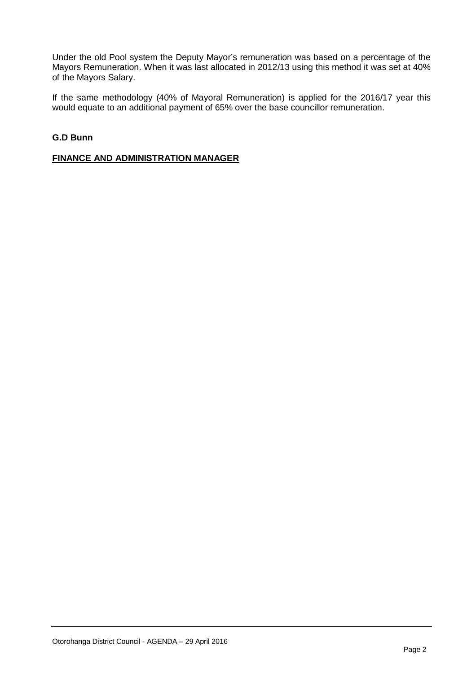Under the old Pool system the Deputy Mayor's remuneration was based on a percentage of the Mayors Remuneration. When it was last allocated in 2012/13 using this method it was set at 40% of the Mayors Salary.

If the same methodology (40% of Mayoral Remuneration) is applied for the 2016/17 year this would equate to an additional payment of 65% over the base councillor remuneration.

#### **G.D Bunn**

#### **FINANCE AND ADMINISTRATION MANAGER**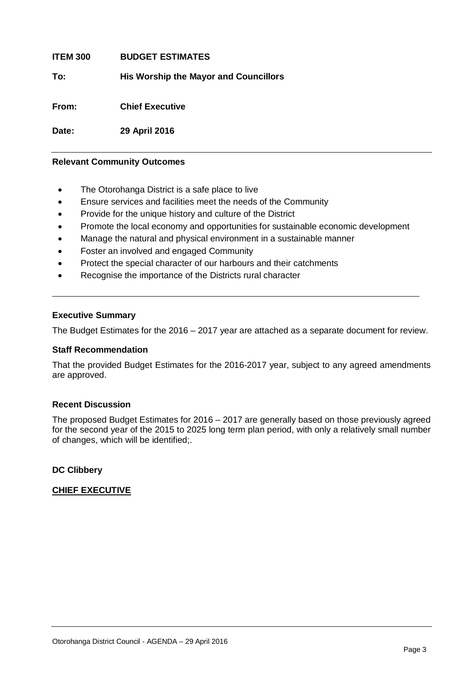**ITEM 300 BUDGET ESTIMATES To: His Worship the Mayor and Councillors From: Chief Executive Date: 29 April 2016**

#### **Relevant Community Outcomes**

- The Otorohanga District is a safe place to live
- Ensure services and facilities meet the needs of the Community
- Provide for the unique history and culture of the District
- Promote the local economy and opportunities for sustainable economic development
- Manage the natural and physical environment in a sustainable manner
- Foster an involved and engaged Community
- Protect the special character of our harbours and their catchments
- Recognise the importance of the Districts rural character

#### **Executive Summary**

The Budget Estimates for the 2016 – 2017 year are attached as a separate document for review.

#### **Staff Recommendation**

That the provided Budget Estimates for the 2016-2017 year, subject to any agreed amendments are approved.

#### **Recent Discussion**

The proposed Budget Estimates for 2016 – 2017 are generally based on those previously agreed for the second year of the 2015 to 2025 long term plan period, with only a relatively small number of changes, which will be identified;.

#### **DC Clibbery**

#### **CHIEF EXECUTIVE**